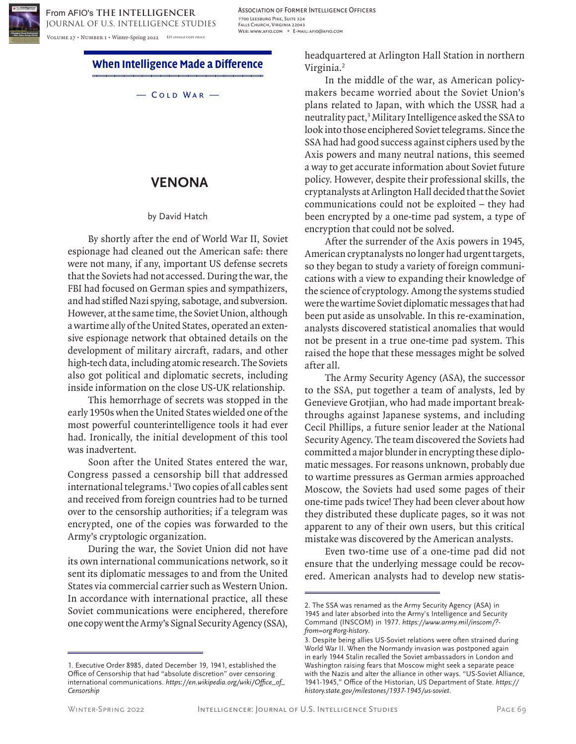

Association of Former Intelligence Officers 7700 Leesburg Pike, Suite 324 Falls Church, Virginia 22043 Web: www.afio.com \* E-mail: afio@afio.com

VOLUME 27 • NUMBER I • Winter-Spring 2022 \$15 SINGLE COPY PRICE

**When Intelligence Made a Difference**

 $-$  COLD WAR  $-$ 

## **VENONA**

## by David Hatch

By shortly after the end of World War II, Soviet espionage had cleaned out the American safe: there were not many, if any, important US defense secrets that the Soviets had not accessed. During the war, the FBI had focused on German spies and sympathizers, and had stifled Nazi spying, sabotage, and subversion. However, at the same time, the Soviet Union, although a wartime ally of the United States, operated an extensive espionage network that obtained details on the development of military aircraft, radars, and other high-tech data, including atomic research. The Soviets also got political and diplomatic secrets, including inside information on the close US-UK relationship.

This hemorrhage of secrets was stopped in the early 1950s when the United States wielded one of the most powerful counterintelligence tools it had ever had. Ironically, the initial development of this tool was inadvertent.

Soon after the United States entered the war, Congress passed a censorship bill that addressed international telegrams.1 Two copies of all cables sent and received from foreign countries had to be turned over to the censorship authorities; if a telegram was encrypted, one of the copies was forwarded to the Army's cryptologic organization.

During the war, the Soviet Union did not have its own international communications network, so it sent its diplomatic messages to and from the United States via commercial carrier such as Western Union. In accordance with international practice, all these Soviet communications were enciphered, therefore one copy went the Army's Signal Security Agency (SSA),

headquartered at Arlington Hall Station in northern Virginia.2

In the middle of the war, as American policymakers became worried about the Soviet Union's plans related to Japan, with which the USSR had a neutrality pact,<sup>3</sup> Military Intelligence asked the SSA to look into those enciphered Soviet telegrams. Since the SSA had had good success against ciphers used by the Axis powers and many neutral nations, this seemed a way to get accurate information about Soviet future policy. However, despite their professional skills, the cryptanalysts at Arlington Hall decided that the Soviet communications could not be exploited – they had been encrypted by a one-time pad system, a type of encryption that could not be solved.

After the surrender of the Axis powers in 1945, American cryptanalysts no longer had urgent targets, so they began to study a variety of foreign communications with a view to expanding their knowledge of the science of cryptology. Among the systems studied were the wartime Soviet diplomatic messages that had been put aside as unsolvable. In this re-examination, analysts discovered statistical anomalies that would not be present in a true one-time pad system. This raised the hope that these messages might be solved after all.

The Army Security Agency (ASA), the successor to the SSA, put together a team of analysts, led by Genevieve Grotjian, who had made important breakthroughs against Japanese systems, and including Cecil Phillips, a future senior leader at the National Security Agency. The team discovered the Soviets had committed a major blunder in encrypting these diplomatic messages. For reasons unknown, probably due to wartime pressures as German armies approached Moscow, the Soviets had used some pages of their one-time pads twice! They had been clever about how they distributed these duplicate pages, so it was not apparent to any of their own users, but this critical mistake was discovered by the American analysts.

Even two-time use of a one-time pad did not ensure that the underlying message could be recovered. American analysts had to develop new statis-

<sup>1.</sup> Executive Order 8985, dated December 19, 1941, established the Office of Censorship that had "absolute discretion" over censoring international communications. *https://en.wikipedia.org/wiki/Office\_of\_ Censorship*

<sup>2.</sup> The SSA was renamed as the Army Security Agency (ASA) in 1945 and later absorbed into the Army's Intelligence and Security Command (INSCOM) in 1977. *https://www.army.mil/inscom/? from=org#org-history*.

<sup>3.</sup> Despite being allies US-Soviet relations were often strained during World War II. When the Normandy invasion was postponed again in early 1944 Stalin recalled the Soviet ambassadors in London and Washington raising fears that Moscow might seek a separate peace with the Nazis and alter the alliance in other ways. "US-Soviet Alliance, 1941-1945," Office of the Historian, US Department of State. *https:// history.state.gov/milestones/1937-1945/us-soviet*.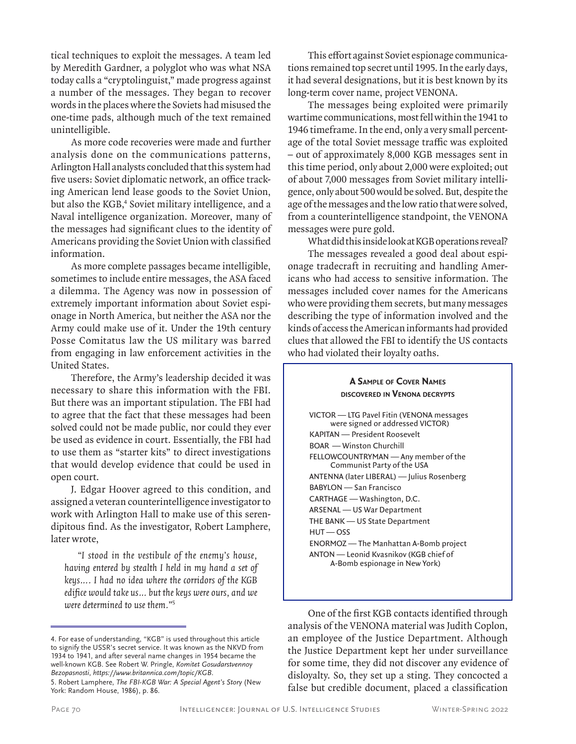tical techniques to exploit the messages. A team led by Meredith Gardner, a polyglot who was what NSA today calls a "cryptolinguist," made progress against a number of the messages. They began to recover words in the places where the Soviets had misused the one-time pads, although much of the text remained unintelligible.

As more code recoveries were made and further analysis done on the communications patterns, Arlington Hall analysts concluded that this system had five users: Soviet diplomatic network, an office tracking American lend lease goods to the Soviet Union, but also the KGB,<sup>4</sup> Soviet military intelligence, and a Naval intelligence organization. Moreover, many of the messages had significant clues to the identity of Americans providing the Soviet Union with classified information.

As more complete passages became intelligible, sometimes to include entire messages, the ASA faced a dilemma. The Agency was now in possession of extremely important information about Soviet espionage in North America, but neither the ASA nor the Army could make use of it. Under the 19th century Posse Comitatus law the US military was barred from engaging in law enforcement activities in the United States.

Therefore, the Army's leadership decided it was necessary to share this information with the FBI. But there was an important stipulation. The FBI had to agree that the fact that these messages had been solved could not be made public, nor could they ever be used as evidence in court. Essentially, the FBI had to use them as "starter kits" to direct investigations that would develop evidence that could be used in open court.

J. Edgar Hoover agreed to this condition, and assigned a veteran counterintelligence investigator to work with Arlington Hall to make use of this serendipitous find. As the investigator, Robert Lamphere, later wrote,

"I stood in the vestibule of the enemy's house, having entered by stealth I held in my hand a set of keys…. I had no idea where the corridors of the KGB edifice would take us… but the keys were ours, and we were determined to use them."<sup>5</sup>

This effort against Soviet espionage communications remained top secret until 1995. In the early days, it had several designations, but it is best known by its long-term cover name, project VENONA.

The messages being exploited were primarily wartime communications, most fell within the 1941 to 1946 timeframe. In the end, only a very small percentage of the total Soviet message traffic was exploited – out of approximately 8,000 KGB messages sent in this time period, only about 2,000 were exploited; out of about 7,000 messages from Soviet military intelligence, only about 500 would be solved. But, despite the age of the messages and the low ratio that were solved, from a counterintelligence standpoint, the VENONA messages were pure gold.

What did this inside look at KGB operations reveal? The messages revealed a good deal about espionage tradecraft in recruiting and handling Americans who had access to sensitive information. The messages included cover names for the Americans who were providing them secrets, but many messages describing the type of information involved and the kinds of access the American informants had provided clues that allowed the FBI to identify the US contacts who had violated their loyalty oaths.

## A Sample of Cover Names discovered in Venona decrypts

VICTOR — LTG Pavel Fitin (VENONA messages were signed or addressed VICTOR) KAPITAN — President Roosevelt BOAR — Winston Churchill FELLOWCOUNTRYMAN — Any member of the Communist Party of the USA ANTENNA (later LIBERAL) — Julius Rosenberg BABYLON — San Francisco CARTHAGE — Washington, D.C. ARSENAL — US War Department THE BANK — US State Department HUT — OSS ENORMOZ — The Manhattan A-Bomb project ANTON — Leonid Kvasnikov (KGB chief of A-Bomb espionage in New York)

One of the first KGB contacts identified through analysis of the VENONA material was Judith Coplon, an employee of the Justice Department. Although the Justice Department kept her under surveillance for some time, they did not discover any evidence of disloyalty. So, they set up a sting. They concocted a false but credible document, placed a classification

<sup>4.</sup> For ease of understanding, "KGB" is used throughout this article to signify the USSR's secret service. It was known as the NKVD from 1934 to 1941, and after several name changes in 1954 became the well-known KGB. See Robert W. Pringle, *Komitet Gosudarstvennoy Bezopasnosti*, *https://www.britannica.com/topic/KGB*. 5. Robert Lamphere, *The FBI-KGB War: A Special Agent's Story* (New York: Random House, 1986), p. 86.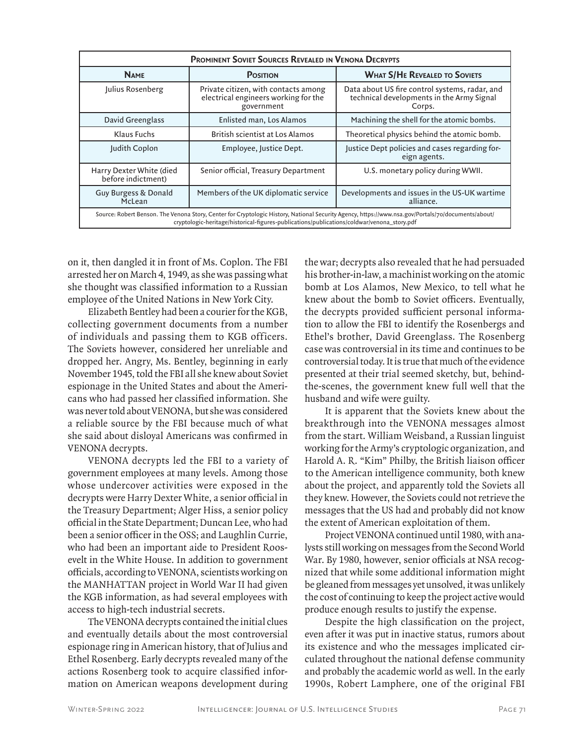| <b>PROMINENT SOVIET SOURCES REVEALED IN VENONA DECRYPTS</b>                                                                                                                                                                                      |                                                                                            |                                                                                                       |
|--------------------------------------------------------------------------------------------------------------------------------------------------------------------------------------------------------------------------------------------------|--------------------------------------------------------------------------------------------|-------------------------------------------------------------------------------------------------------|
| <b>NAME</b>                                                                                                                                                                                                                                      | <b>POSITION</b>                                                                            | <b>WHAT S/HE REVEALED TO SOVIETS</b>                                                                  |
| Julius Rosenberg                                                                                                                                                                                                                                 | Private citizen, with contacts among<br>electrical engineers working for the<br>government | Data about US fire control systems, radar, and<br>technical developments in the Army Signal<br>Corps. |
| David Greenglass                                                                                                                                                                                                                                 | Enlisted man, Los Alamos                                                                   | Machining the shell for the atomic bombs.                                                             |
| Klaus Fuchs                                                                                                                                                                                                                                      | British scientist at Los Alamos                                                            | Theoretical physics behind the atomic bomb.                                                           |
| Judith Coplon                                                                                                                                                                                                                                    | Employee, Justice Dept.                                                                    | Justice Dept policies and cases regarding for-<br>eign agents.                                        |
| Harry Dexter White (died<br>before indictment)                                                                                                                                                                                                   | Senior official, Treasury Department                                                       | U.S. monetary policy during WWII.                                                                     |
| Guy Burgess & Donald<br>McLean                                                                                                                                                                                                                   | Members of the UK diplomatic service                                                       | Developments and issues in the US-UK wartime<br>alliance.                                             |
| Source: Robert Benson. The Venona Story, Center for Cryptologic History, National Security Agency, https://www.nsa.gov/Portals/70/documents/about/<br>cryptologic-heritage/historical-figures-publications/publications/coldwar/venona_story.pdf |                                                                                            |                                                                                                       |

on it, then dangled it in front of Ms. Coplon. The FBI arrested her on March 4, 1949, as she was passing what she thought was classified information to a Russian employee of the United Nations in New York City.

Elizabeth Bentley had been a courier for the KGB, collecting government documents from a number of individuals and passing them to KGB officers. The Soviets however, considered her unreliable and dropped her. Angry, Ms. Bentley, beginning in early November 1945, told the FBI all she knew about Soviet espionage in the United States and about the Americans who had passed her classified information. She was never told about VENONA, but she was considered a reliable source by the FBI because much of what she said about disloyal Americans was confirmed in VENONA decrypts.

VENONA decrypts led the FBI to a variety of government employees at many levels. Among those whose undercover activities were exposed in the decrypts were Harry Dexter White, a senior official in the Treasury Department; Alger Hiss, a senior policy official in the State Department; Duncan Lee, who had been a senior officer in the OSS; and Laughlin Currie, who had been an important aide to President Roosevelt in the White House. In addition to government officials, according to VENONA, scientists working on the MANHATTAN project in World War II had given the KGB information, as had several employees with access to high-tech industrial secrets.

The VENONA decrypts contained the initial clues and eventually details about the most controversial espionage ring in American history, that of Julius and Ethel Rosenberg. Early decrypts revealed many of the actions Rosenberg took to acquire classified information on American weapons development during the war; decrypts also revealed that he had persuaded his brother-in-law, a machinist working on the atomic bomb at Los Alamos, New Mexico, to tell what he knew about the bomb to Soviet officers. Eventually, the decrypts provided sufficient personal information to allow the FBI to identify the Rosenbergs and Ethel's brother, David Greenglass. The Rosenberg case was controversial in its time and continues to be controversial today. It is true that much of the evidence presented at their trial seemed sketchy, but, behindthe-scenes, the government knew full well that the husband and wife were guilty.

It is apparent that the Soviets knew about the breakthrough into the VENONA messages almost from the start. William Weisband, a Russian linguist working for the Army's cryptologic organization, and Harold A. R. "Kim" Philby, the British liaison officer to the American intelligence community, both knew about the project, and apparently told the Soviets all they knew. However, the Soviets could not retrieve the messages that the US had and probably did not know the extent of American exploitation of them.

Project VENONA continued until 1980, with analysts still working on messages from the Second World War. By 1980, however, senior officials at NSA recognized that while some additional information might be gleaned from messages yet unsolved, it was unlikely the cost of continuing to keep the project active would produce enough results to justify the expense.

Despite the high classification on the project, even after it was put in inactive status, rumors about its existence and who the messages implicated circulated throughout the national defense community and probably the academic world as well. In the early 1990s, Robert Lamphere, one of the original FBI